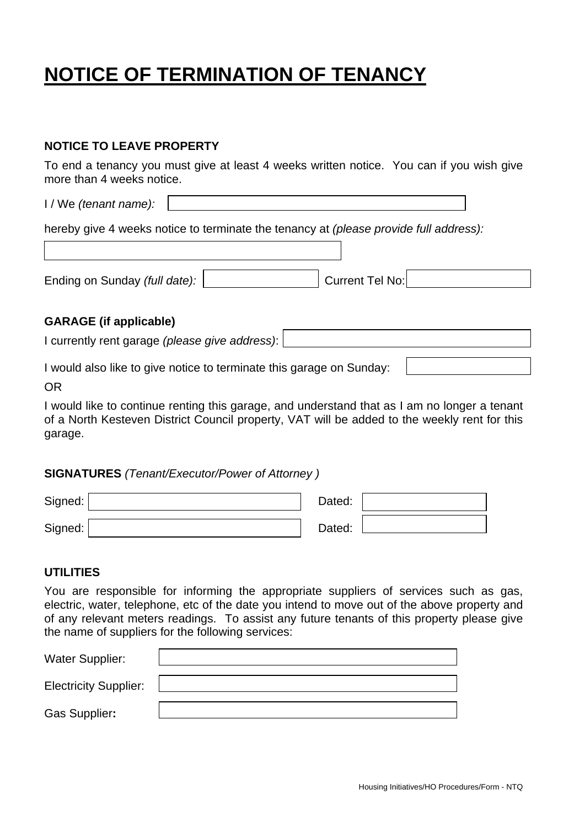# **NOTICE OF TERMINATION OF TENANCY**

# **NOTICE TO LEAVE PROPERTY**

To end a tenancy you must give at least 4 weeks written notice. You can if you wish give more than 4 weeks notice.

I / We *(tenant name):*

hereby give 4 weeks notice to terminate the tenancy at *(please provide full address):* 

Ending on Sunday *(full date):*  $\vert$  **Current Tel No:** 

## **GARAGE (if applicable)**

I currently rent garage *(please give address)*:

I would also like to give notice to terminate this garage on Sunday:

OR

I would like to continue renting this garage, and understand that as I am no longer a tenant of a North Kesteven District Council property, VAT will be added to the weekly rent for this garage.

#### **SIGNATURES** *(Tenant/Executor/Power of Attorney )*

| Signed: | Dated: |  |
|---------|--------|--|
| Signed: | Dated: |  |

# **UTILITIES**

You are responsible for informing the appropriate suppliers of services such as gas, electric, water, telephone, etc of the date you intend to move out of the above property and of any relevant meters readings. To assist any future tenants of this property please give the name of suppliers for the following services:

| <b>Water Supplier:</b>       |  |
|------------------------------|--|
| <b>Electricity Supplier:</b> |  |
| Gas Supplier:                |  |